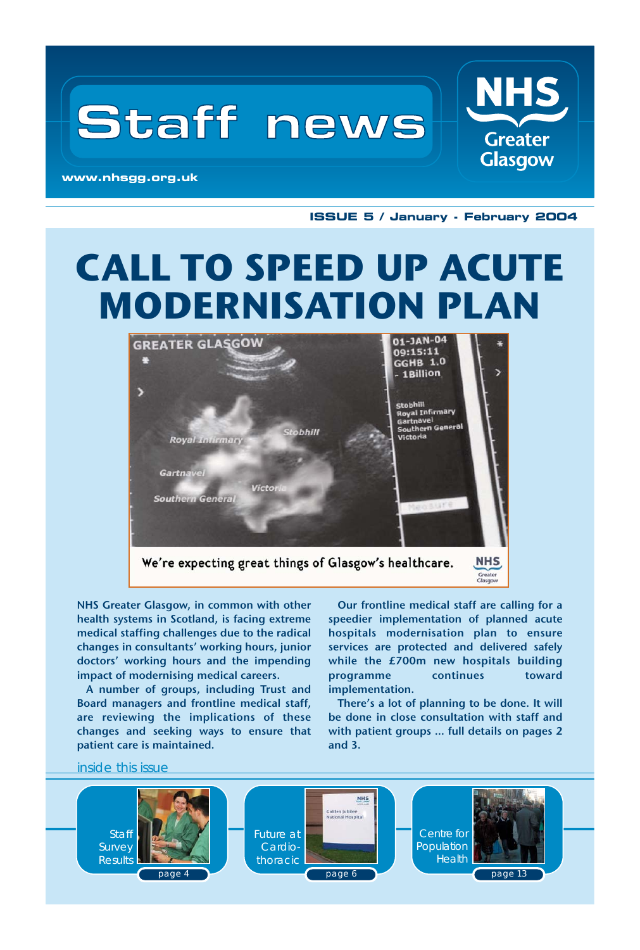

**ISSUE 5 / January - February 2004**

## **CALL TO SPEED UP ACUTE MODERNISATION PLAN**



NHS Greater Glasgow, in common with other health systems in Scotland, is facing extreme medical staffing challenges due to the radical changes in consultants' working hours, junior doctors' working hours and the impending impact of modernising medical careers.

A number of groups, including Trust and Board managers and frontline medical staff, are reviewing the implications of these changes and seeking ways to ensure that patient care is maintained.

Our frontline medical staff are calling for a speedier implementation of planned acute hospitals modernisation plan to ensure services are protected and delivered safely while the £700m new hospitals building programme continues toward implementation.

There's a lot of planning to be done. It will be done in close consultation with staff and with patient groups … full details on pages 2 and 3.

inside this issue

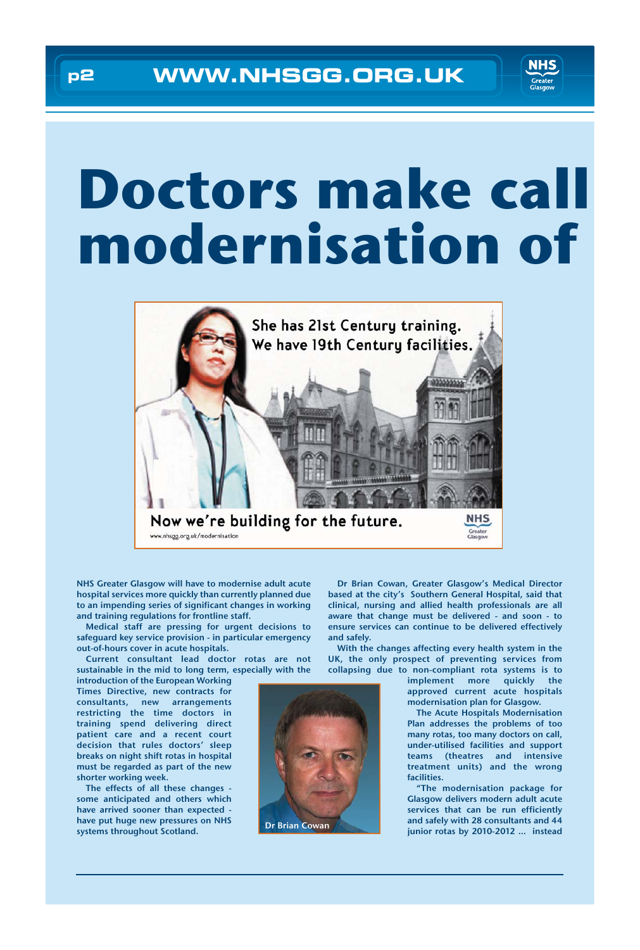

# **Doctors make call modernisation of**



NHS Greater Glasgow will have to modernise adult acute hospital services more quickly than currently planned due to an impending series of significant changes in working and training regulations for frontline staff.

Medical staff are pressing for urgent decisions to safeguard key service provision - in particular emergency out-of-hours cover in acute hospitals.

Current consultant lead doctor rotas are not sustainable in the mid to long term, especially with the

introduction of the European Working Times Directive, new contracts for consultants, new arrangements restricting the time doctors in training spend delivering direct patient care and a recent court decision that rules doctors' sleep breaks on night shift rotas in hospital must be regarded as part of the new shorter working week.

The effects of all these changes some anticipated and others which have arrived sooner than expected have put huge new pressures on NHS systems throughout Scotland.

Dr Brian Cowan, Greater Glasgow's Medical Director based at the city's Southern General Hospital, said that clinical, nursing and allied health professionals are all aware that change must be delivered - and soon - to ensure services can continue to be delivered effectively and safely.

With the changes affecting every health system in the UK, the only prospect of preventing services from collapsing due to non-compliant rota systems is to

> implement more quickly the approved current acute hospitals modernisation plan for Glasgow.

> The Acute Hospitals Modernisation Plan addresses the problems of too many rotas, too many doctors on call, under-utilised facilities and support teams (theatres and intensive treatment units) and the wrong facilities.

"The modernisation package for Glasgow delivers modern adult acute services that can be run efficiently and safely with 28 consultants and 44 Dr Brian Cowan did salely with 26 consultants and 44<br>junior rotas by 2010-2012 … instead

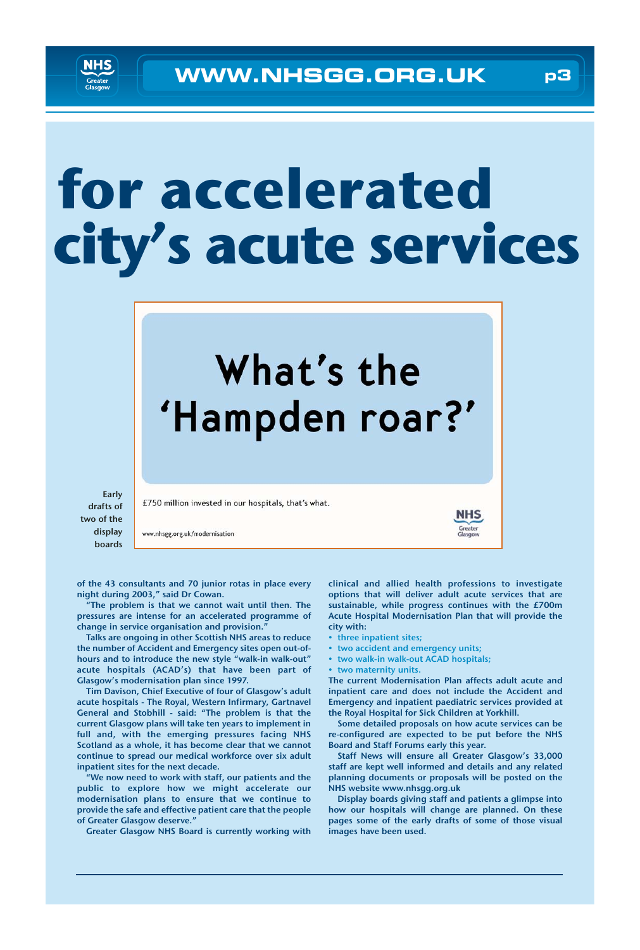# **for accelerated city's acute services**



Early drafts of two of the display boards

of the 43 consultants and 70 junior rotas in place every night during 2003," said Dr Cowan.

www.nhsgg.org.uk/modernisation

"The problem is that we cannot wait until then. The pressures are intense for an accelerated programme of change in service organisation and provision."

Talks are ongoing in other Scottish NHS areas to reduce the number of Accident and Emergency sites open out-ofhours and to introduce the new style "walk-in walk-out" acute hospitals (ACAD's) that have been part of Glasgow's modernisation plan since 1997.

Tim Davison, Chief Executive of four of Glasgow's adult acute hospitals - The Royal, Western Infirmary, Gartnavel General and Stobhill - said: "The problem is that the current Glasgow plans will take ten years to implement in full and, with the emerging pressures facing NHS Scotland as a whole, it has become clear that we cannot continue to spread our medical workforce over six adult inpatient sites for the next decade.

"We now need to work with staff, our patients and the public to explore how we might accelerate our modernisation plans to ensure that we continue to provide the safe and effective patient care that the people of Greater Glasgow deserve."

Greater Glasgow NHS Board is currently working with

clinical and allied health professions to investigate options that will deliver adult acute services that are sustainable, while progress continues with the £700m Acute Hospital Modernisation Plan that will provide the city with:

Greater<br>Glasgow

- three inpatient sites;
- two accident and emergency units;
- two walk-in walk-out ACAD hospitals;
- two maternity units.

The current Modernisation Plan affects adult acute and inpatient care and does not include the Accident and Emergency and inpatient paediatric services provided at the Royal Hospital for Sick Children at Yorkhill.

Some detailed proposals on how acute services can be re-configured are expected to be put before the NHS Board and Staff Forums early this year.

Staff News will ensure all Greater Glasgow's 33,000 staff are kept well informed and details and any related planning documents or proposals will be posted on the NHS website www.nhsgg.org.uk

Display boards giving staff and patients a glimpse into how our hospitals will change are planned. On these pages some of the early drafts of some of those visual images have been used.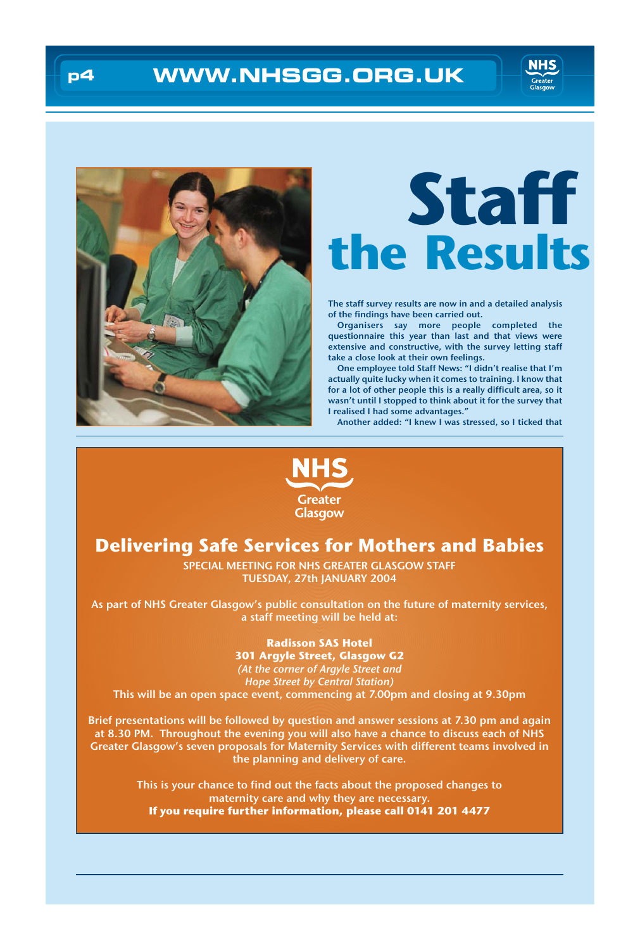

## **p4 WWW.NHSGG.ORG.UK**





# **Staff the Results**

The staff survey results are now in and a detailed analysis of the findings have been carried out.

Organisers say more people completed the questionnaire this year than last and that views were extensive and constructive, with the survey letting staff take a close look at their own feelings.

One employee told Staff News: "I didn't realise that I'm actually quite lucky when it comes to training. I know that for a lot of other people this is a really difficult area, so it wasn't until I stopped to think about it for the survey that I realised I had some advantages."

Another added: "I knew I was stressed, so I ticked that



## **Delivering Safe Services for Mothers and Babies**

SPECIAL MEETING FOR NHS GREATER GLASGOW STAFF TUESDAY, 27th JANUARY 2004

As part of NHS Greater Glasgow's public consultation on the future of maternity services, a staff meeting will be held at:

**Radisson SAS Hotel**

**301 Argyle Street, Glasgow G2** (At the corner of Argyle Street and Hope Street by Central Station) This will be an open space event, commencing at 7.00pm and closing at 9.30pm

Brief presentations will be followed by question and answer sessions at 7.30 pm and again at 8.30 PM. Throughout the evening you will also have a chance to discuss each of NHS Greater Glasgow's seven proposals for Maternity Services with different teams involved in the planning and delivery of care.

> This is your chance to find out the facts about the proposed changes to maternity care and why they are necessary. **If you require further information, please call 0141 201 4477**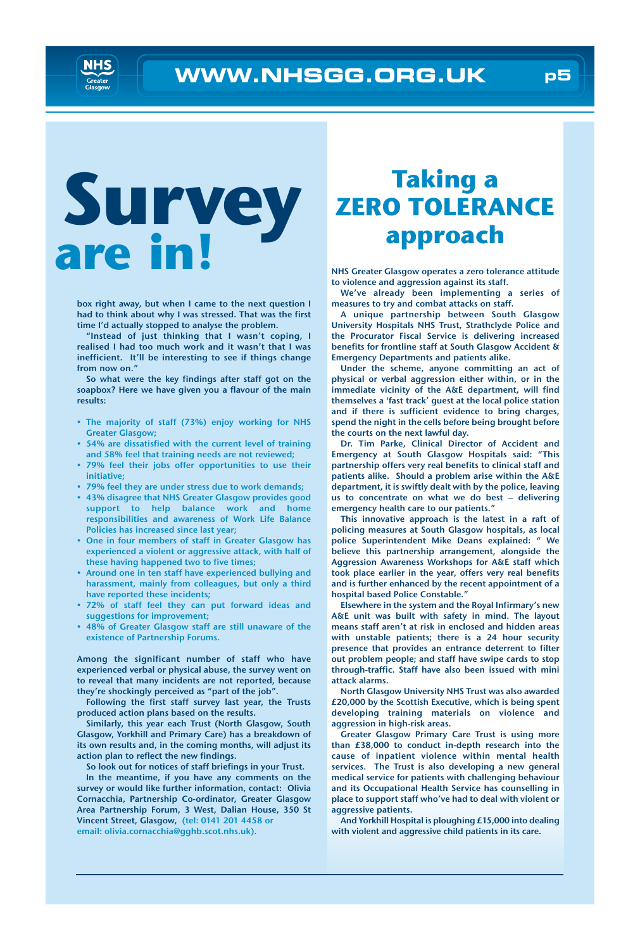

# **Survey are in!**

box right away, but when I came to the next question I had to think about why I was stressed. That was the first time I'd actually stopped to analyse the problem.

"Instead of just thinking that I wasn't coping, I realised I had too much work and it wasn't that I was inefficient. It'll be interesting to see if things change from now on."

So what were the key findings after staff got on the soapbox? Here we have given you a flavour of the main results:

- The majority of staff (73%) enjoy working for NHS Greater Glasgow;
- 54% are dissatisfied with the current level of training and 58% feel that training needs are not reviewed;
- 79% feel their jobs offer opportunities to use their initiative;
- 79% feel they are under stress due to work demands;
- 43% disagree that NHS Greater Glasgow provides good support to help balance work and home responsibilities and awareness of Work Life Balance Policies has increased since last year;
- One in four members of staff in Greater Glasgow has experienced a violent or aggressive attack, with half of these having happened two to five times;
- Around one in ten staff have experienced bullying and harassment, mainly from colleagues, but only a third have reported these incidents;
- 72% of staff feel they can put forward ideas and suggestions for improvement;
- 48% of Greater Glasgow staff are still unaware of the existence of Partnership Forums.

Among the significant number of staff who have experienced verbal or physical abuse, the survey went on to reveal that many incidents are not reported, because they're shockingly perceived as "part of the job".

Following the first staff survey last year, the Trusts produced action plans based on the results.

Similarly, this year each Trust (North Glasgow, South Glasgow, Yorkhill and Primary Care) has a breakdown of its own results and, in the coming months, will adjust its action plan to reflect the new findings.

So look out for notices of staff briefings in your Trust.

In the meantime, if you have any comments on the survey or would like further information, contact: Olivia Cornacchia, Partnership Co-ordinator, Greater Glasgow Area Partnership Forum, 3 West, Dalian House, 350 St Vincent Street, Glasgow, (tel: 0141 201 4458 or email: olivia.cornacchia@gghb.scot.nhs.uk).

## **Taking a ZERO TOLERANCE approach**

NHS Greater Glasgow operates a zero tolerance attitude to violence and aggression against its staff.

We've already been implementing a series of measures to try and combat attacks on staff.

A unique partnership between South Glasgow University Hospitals NHS Trust, Strathclyde Police and the Procurator Fiscal Service is delivering increased benefits for frontline staff at South Glasgow Accident & Emergency Departments and patients alike.

Under the scheme, anyone committing an act of physical or verbal aggression either within, or in the immediate vicinity of the A&E department, will find themselves a 'fast track' guest at the local police station and if there is sufficient evidence to bring charges, spend the night in the cells before being brought before the courts on the next lawful day.

Dr. Tim Parke, Clinical Director of Accident and Emergency at South Glasgow Hospitals said: "This partnership offers very real benefits to clinical staff and patients alike. Should a problem arise within the A&E department, it is swiftly dealt with by the police, leaving us to concentrate on what we do best – delivering emergency health care to our patients."

This innovative approach is the latest in a raft of policing measures at South Glasgow hospitals, as local police Superintendent Mike Deans explained: " We believe this partnership arrangement, alongside the Aggression Awareness Workshops for A&E staff which took place earlier in the year, offers very real benefits and is further enhanced by the recent appointment of a hospital based Police Constable."

Elsewhere in the system and the Royal Infirmary's new A&E unit was built with safety in mind. The layout means staff aren't at risk in enclosed and hidden areas with unstable patients; there is a 24 hour security presence that provides an entrance deterrent to filter out problem people; and staff have swipe cards to stop through-traffic. Staff have also been issued with mini attack alarms.

North Glasgow University NHS Trust was also awarded £20,000 by the Scottish Executive, which is being spent developing training materials on violence and aggression in high-risk areas.

Greater Glasgow Primary Care Trust is using more than £38,000 to conduct in-depth research into the cause of inpatient violence within mental health services. The Trust is also developing a new general medical service for patients with challenging behaviour and its Occupational Health Service has counselling in place to support staff who've had to deal with violent or aggressive patients.

And Yorkhill Hospital is ploughing £15,000 into dealing with violent and aggressive child patients in its care.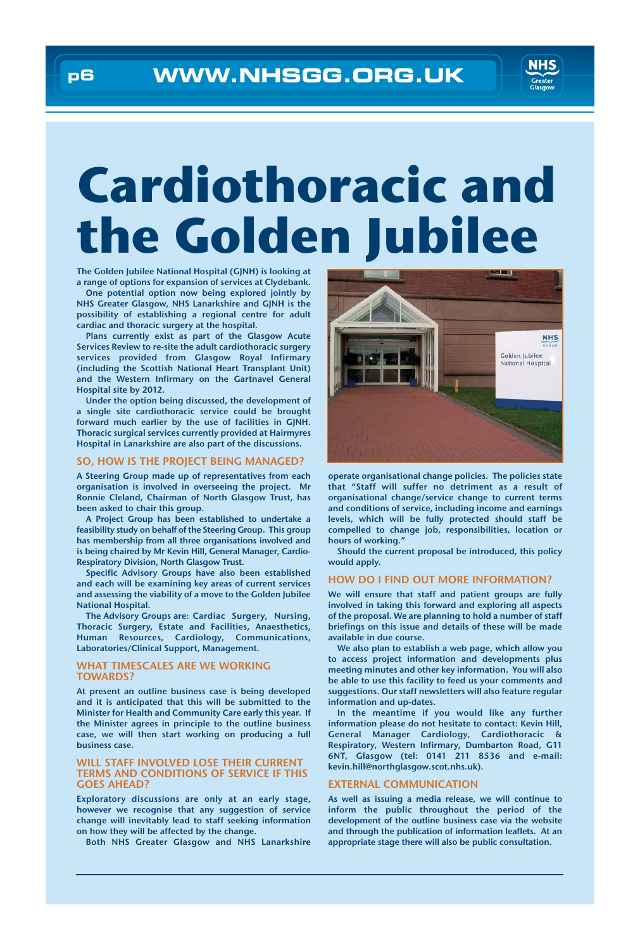

# **Cardiothoracic and the Golden Jubilee**

The Golden Jubilee National Hospital (GJNH) is looking at a range of options for expansion of services at Clydebank.

One potential option now being explored jointly by NHS Greater Glasgow, NHS Lanarkshire and GJNH is the possibility of establishing a regional centre for adult cardiac and thoracic surgery at the hospital.

Plans currently exist as part of the Glasgow Acute Services Review to re-site the adult cardiothoracic surgery services provided from Glasgow Royal Infirmary (including the Scottish National Heart Transplant Unit) and the Western Infirmary on the Gartnavel General Hospital site by 2012.

Under the option being discussed, the development of a single site cardiothoracic service could be brought forward much earlier by the use of facilities in GJNH. Thoracic surgical services currently provided at Hairmyres Hospital in Lanarkshire are also part of the discussions.

### SO, HOW IS THE PROJECT BEING MANAGED?

A Steering Group made up of representatives from each organisation is involved in overseeing the project. Mr Ronnie Cleland, Chairman of North Glasgow Trust, has been asked to chair this group.

A Project Group has been established to undertake a feasibility study on behalf of the Steering Group. This group has membership from all three organisations involved and is being chaired by Mr Kevin Hill, General Manager, Cardio-Respiratory Division, North Glasgow Trust.

Specific Advisory Groups have also been established and each will be examining key areas of current services and assessing the viability of a move to the Golden Jubilee National Hospital.

The Advisory Groups are: Cardiac Surgery, Nursing, Thoracic Surgery, Estate and Facilities, Anaesthetics, Human Resources, Cardiology, Communications, Laboratories/Clinical Support, Management.

### WHAT TIMESCALES ARE WE WORKING TOWARDS?

At present an outline business case is being developed and it is anticipated that this will be submitted to the Minister for Health and Community Care early this year. If the Minister agrees in principle to the outline business case, we will then start working on producing a full business case.

### WILL STAFF INVOLVED LOSE THEIR CURRENT TERMS AND CONDITIONS OF SERVICE IF THIS GOES AHEAD?

Exploratory discussions are only at an early stage, however we recognise that any suggestion of service change will inevitably lead to staff seeking information on how they will be affected by the change.

Both NHS Greater Glasgow and NHS Lanarkshire



operate organisational change policies. The policies state that "Staff will suffer no detriment as a result of organisational change/service change to current terms and conditions of service, including income and earnings levels, which will be fully protected should staff be compelled to change job, responsibilities, location or hours of working."

Should the current proposal be introduced, this policy would apply.

### HOW DO I FIND OUT MORE INFORMATION?

We will ensure that staff and patient groups are fully involved in taking this forward and exploring all aspects of the proposal. We are planning to hold a number of staff briefings on this issue and details of these will be made available in due course.

We also plan to establish a web page, which allow you to access project information and developments plus meeting minutes and other key information. You will also be able to use this facility to feed us your comments and suggestions. Our staff newsletters will also feature regular information and up-dates.

In the meantime if you would like any further information please do not hesitate to contact: Kevin Hill, General Manager Cardiology, Cardiothoracic & Respiratory, Western Infirmary, Dumbarton Road, G11 6NT, Glasgow (tel: 0141 211 8536 and e-mail: kevin.hill@northglasgow.scot.nhs.uk).

#### EXTERNAL COMMUNICATION

As well as issuing a media release, we will continue to inform the public throughout the period of the development of the outline business case via the website and through the publication of information leaflets. At an appropriate stage there will also be public consultation.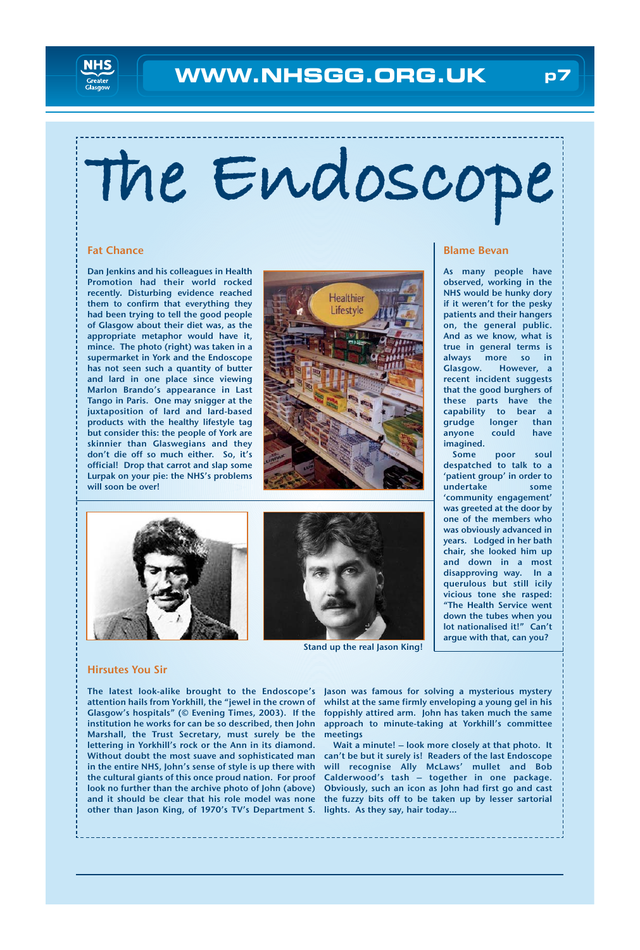

# **The Endoscope**

### Fat Chance

Dan Jenkins and his colleagues in Health Promotion had their world rocked recently. Disturbing evidence reached them to confirm that everything they had been trying to tell the good people of Glasgow about their diet was, as the appropriate metaphor would have it, mince. The photo (right) was taken in a supermarket in York and the Endoscope has not seen such a quantity of butter and lard in one place since viewing Marlon Brando's appearance in Last Tango in Paris. One may snigger at the juxtaposition of lard and lard-based products with the healthy lifestyle tag but consider this: the people of York are skinnier than Glaswegians and they don't die off so much either. So, it's official! Drop that carrot and slap some Lurpak on your pie: the NHS's problems will soon be over!



### Blame Bevan

As many people have observed, working in the NHS would be hunky dory if it weren't for the pesky patients and their hangers on, the general public. And as we know, what is true in general terms is always more so in Glasgow. However, a recent incident suggests that the good burghers of these parts have the capability to bear a grudge longer than anyone could have imagined.

Some poor soul despatched to talk to a 'patient group' in order to undertake some 'community engagement' was greeted at the door by one of the members who was obviously advanced in years. Lodged in her bath chair, she looked him up and down in a most disapproving way. In a querulous but still icily vicious tone she rasped: "The Health Service went down the tubes when you lot nationalised it!" Can't argue with that, can you?





Stand up the real Jason King!

### Hirsutes You Sir

The latest look-alike brought to the Endoscope's attention hails from Yorkhill, the "jewel in the crown of Glasgow's hospitals" (© Evening Times, 2003). If the institution he works for can be so described, then John Marshall, the Trust Secretary, must surely be the lettering in Yorkhill's rock or the Ann in its diamond. Without doubt the most suave and sophisticated man in the entire NHS, John's sense of style is up there with the cultural giants of this once proud nation. For proof look no further than the archive photo of John (above) and it should be clear that his role model was none other than Jason King, of 1970's TV's Department S. lights. As they say, hair today…

Jason was famous for solving a mysterious mystery whilst at the same firmly enveloping a young gel in his foppishly attired arm. John has taken much the same approach to minute-taking at Yorkhill's committee meetings

Wait a minute! – look more closely at that photo. It can't be but it surely is! Readers of the last Endoscope will recognise Ally McLaws' mullet and Bob Calderwood's tash – together in one package. Obviously, such an icon as John had first go and cast the fuzzy bits off to be taken up by lesser sartorial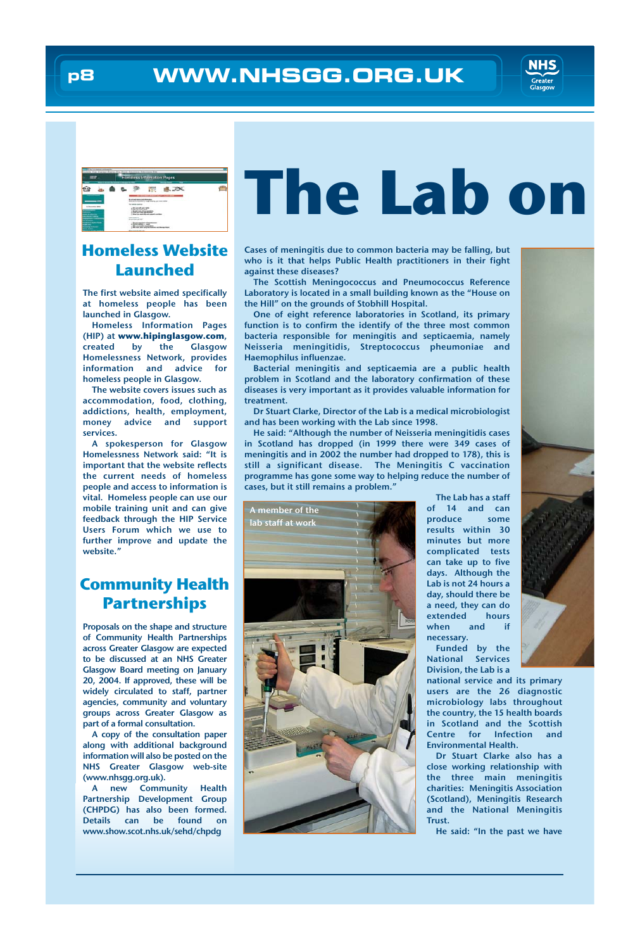

## **Homeless Website Launched**

The first website aimed specifically at homeless people has been launched in Glasgow.

Homeless Information Pages (HIP) at **www.hipinglasgow.com**, created by the Glasgow Homelessness Network, provides information and advice for homeless people in Glasgow.

The website covers issues such as accommodation, food, clothing, addictions, health, employment, money advice and support services.

A spokesperson for Glasgow Homelessness Network said: "It is important that the website reflects the current needs of homeless people and access to information is vital. Homeless people can use our mobile training unit and can give feedback through the HIP Service Users Forum which we use to further improve and update the website."

## **Community Health Partnerships**

Proposals on the shape and structure of Community Health Partnerships across Greater Glasgow are expected to be discussed at an NHS Greater Glasgow Board meeting on January 20, 2004. If approved, these will be widely circulated to staff, partner agencies, community and voluntary groups across Greater Glasgow as part of a formal consultation.

A copy of the consultation paper along with additional background information will also be posted on the NHS Greater Glasgow web-site (www.nhsgg.org.uk).

A new Community Health Partnership Development Group (CHPDG) has also been formed. Details can be found on www.show.scot.nhs.uk/sehd/chpdg

# **The Lab on**

Cases of meningitis due to common bacteria may be falling, but who is it that helps Public Health practitioners in their fight against these diseases?

The Scottish Meningococcus and Pneumococcus Reference Laboratory is located in a small building known as the "House on the Hill" on the grounds of Stobhill Hospital.

One of eight reference laboratories in Scotland, its primary function is to confirm the identify of the three most common bacteria responsible for meningitis and septicaemia, namely Neisseria meningitidis, Streptococcus pheumoniae and Haemophilus influenzae.

Bacterial meningitis and septicaemia are a public health problem in Scotland and the laboratory confirmation of these diseases is very important as it provides valuable information for treatment.

Dr Stuart Clarke, Director of the Lab is a medical microbiologist and has been working with the Lab since 1998.

He said: "Although the number of Neisseria meningitidis cases in Scotland has dropped (in 1999 there were 349 cases of meningitis and in 2002 the number had dropped to 178), this is still a significant disease. The Meningitis C vaccination programme has gone some way to helping reduce the number of cases, but it still remains a problem."



The Lab has a staff of 14 and can produce some results within 30 minutes but more complicated tests can take up to five days. Although the Lab is not 24 hours a day, should there be a need, they can do extended hours when and if necessary.

Funded by the National Services Division, the Lab is a

national service and its primary users are the 26 diagnostic microbiology labs throughout the country, the 15 health boards in Scotland and the Scottish<br>Centre for Infection and for Infection and Environmental Health.

Dr Stuart Clarke also has a close working relationship with the three main meningitis charities: Meningitis Association (Scotland), Meningitis Research and the National Meningitis Trust.

He said: "In the past we have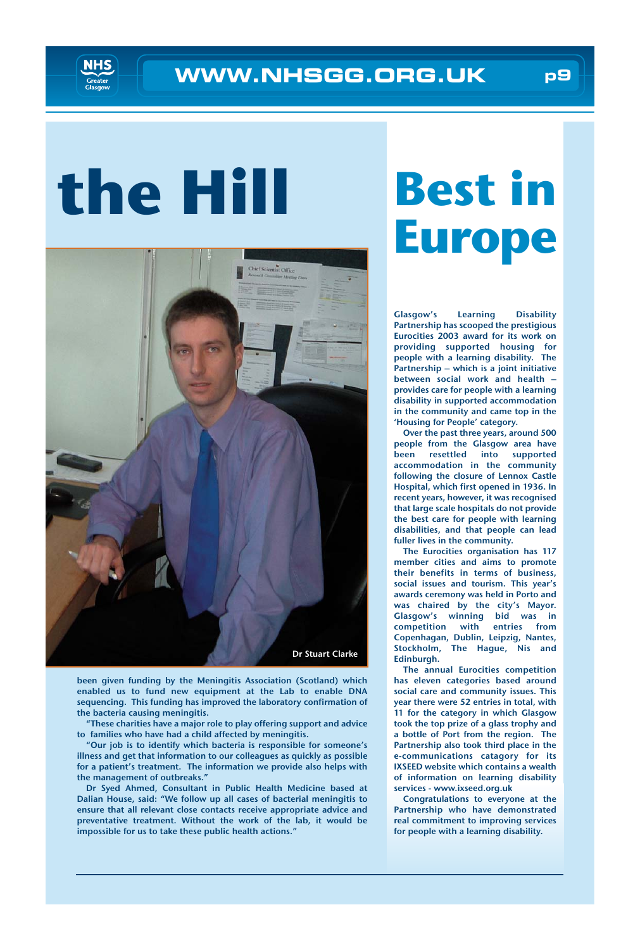# **the Hill**



been given funding by the Meningitis Association (Scotland) which enabled us to fund new equipment at the Lab to enable DNA sequencing. This funding has improved the laboratory confirmation of the bacteria causing meningitis.

"These charities have a major role to play offering support and advice to families who have had a child affected by meningitis.

"Our job is to identify which bacteria is responsible for someone's illness and get that information to our colleagues as quickly as possible for a patient's treatment. The information we provide also helps with the management of outbreaks."

Dr Syed Ahmed, Consultant in Public Health Medicine based at Dalian House, said: "We follow up all cases of bacterial meningitis to ensure that all relevant close contacts receive appropriate advice and preventative treatment. Without the work of the lab, it would be impossible for us to take these public health actions."

# **Best in Europe**

Glasgow's Learning Disability Partnership has scooped the prestigious Eurocities 2003 award for its work on providing supported housing for people with a learning disability. The Partnership – which is a joint initiative between social work and health – provides care for people with a learning disability in supported accommodation in the community and came top in the 'Housing for People' category.

Over the past three years, around 500 people from the Glasgow area have been resettled into supported accommodation in the community following the closure of Lennox Castle Hospital, which first opened in 1936. In recent years, however, it was recognised that large scale hospitals do not provide the best care for people with learning disabilities, and that people can lead fuller lives in the community.

The Eurocities organisation has 117 member cities and aims to promote their benefits in terms of business, social issues and tourism. This year's awards ceremony was held in Porto and was chaired by the city's Mayor. Glasgow's winning bid was in competition with entries from Copenhagan, Dublin, Leipzig, Nantes, Stockholm, The Hague, Nis and Edinburgh.

The annual Eurocities competition has eleven categories based around social care and community issues. This year there were 52 entries in total, with 11 for the category in which Glasgow took the top prize of a glass trophy and a bottle of Port from the region. The Partnership also took third place in the e-communications catagory for its IXSEED website which contains a wealth of information on learning disability services - www.ixseed.org.uk

Congratulations to everyone at the Partnership who have demonstrated real commitment to improving services for people with a learning disability.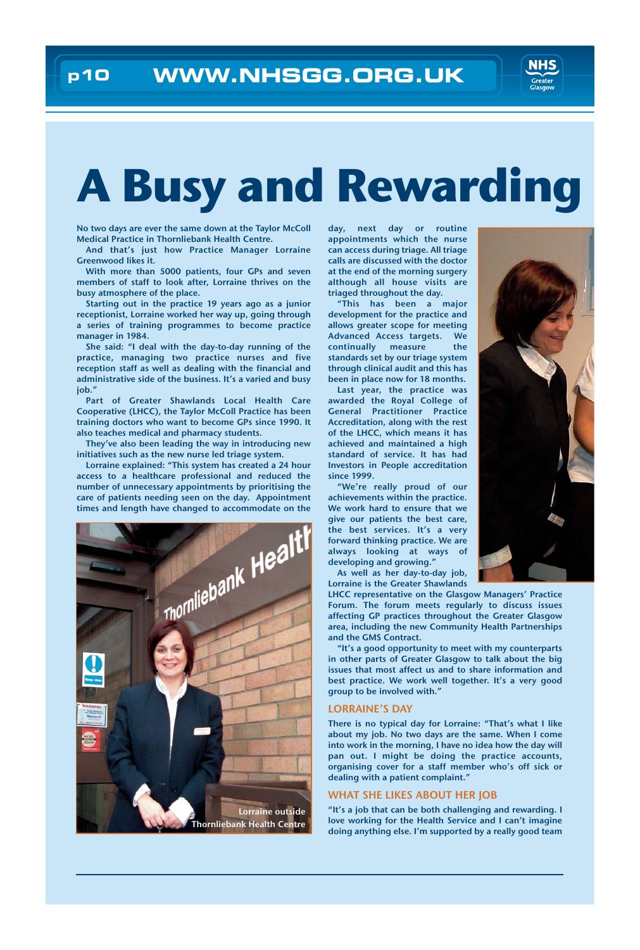

# **A Busy and Rewarding**

No two days are ever the same down at the Taylor McColl Medical Practice in Thornliebank Health Centre.

And that's just how Practice Manager Lorraine Greenwood likes it.

With more than 5000 patients, four GPs and seven members of staff to look after, Lorraine thrives on the busy atmosphere of the place.

Starting out in the practice 19 years ago as a junior receptionist, Lorraine worked her way up, going through a series of training programmes to become practice manager in 1984.

She said: "I deal with the day-to-day running of the practice, managing two practice nurses and five reception staff as well as dealing with the financial and administrative side of the business. It's a varied and busy iob.'

Part of Greater Shawlands Local Health Care Cooperative (LHCC), the Taylor McColl Practice has been training doctors who want to become GPs since 1990. It also teaches medical and pharmacy students.

They've also been leading the way in introducing new initiatives such as the new nurse led triage system.

Lorraine explained: "This system has created a 24 hour access to a healthcare professional and reduced the number of unnecessary appointments by prioritising the care of patients needing seen on the day. Appointment times and length have changed to accommodate on the



day, next day or routine appointments which the nurse can access during triage. All triage calls are discussed with the doctor at the end of the morning surgery although all house visits are triaged throughout the day.

"This has been a major development for the practice and allows greater scope for meeting Advanced Access targets. We continually measure the standards set by our triage system through clinical audit and this has been in place now for 18 months.

Last year, the practice was awarded the Royal College of General Practitioner Practice Accreditation, along with the rest of the LHCC, which means it has achieved and maintained a high standard of service. It has had Investors in People accreditation since 1999.

"We're really proud of our achievements within the practice. We work hard to ensure that we give our patients the best care, the best services. It's a very forward thinking practice. We are always looking at ways of developing and growing."

As well as her day-to-day job, Lorraine is the Greater Shawlands

LHCC representative on the Glasgow Managers' Practice Forum. The forum meets regularly to discuss issues affecting GP practices throughout the Greater Glasgow area, including the new Community Health Partnerships and the GMS Contract.

"It's a good opportunity to meet with my counterparts in other parts of Greater Glasgow to talk about the big issues that most affect us and to share information and best practice. We work well together. It's a very good group to be involved with."

#### LORRAINE'S DAY

There is no typical day for Lorraine: "That's what I like about my job. No two days are the same. When I come into work in the morning, I have no idea how the day will pan out. I might be doing the practice accounts, organising cover for a staff member who's off sick or dealing with a patient complaint."

#### WHAT SHE LIKES ABOUT HER JOB

"It's a job that can be both challenging and rewarding. I love working for the Health Service and I can't imagine doing anything else. I'm supported by a really good team

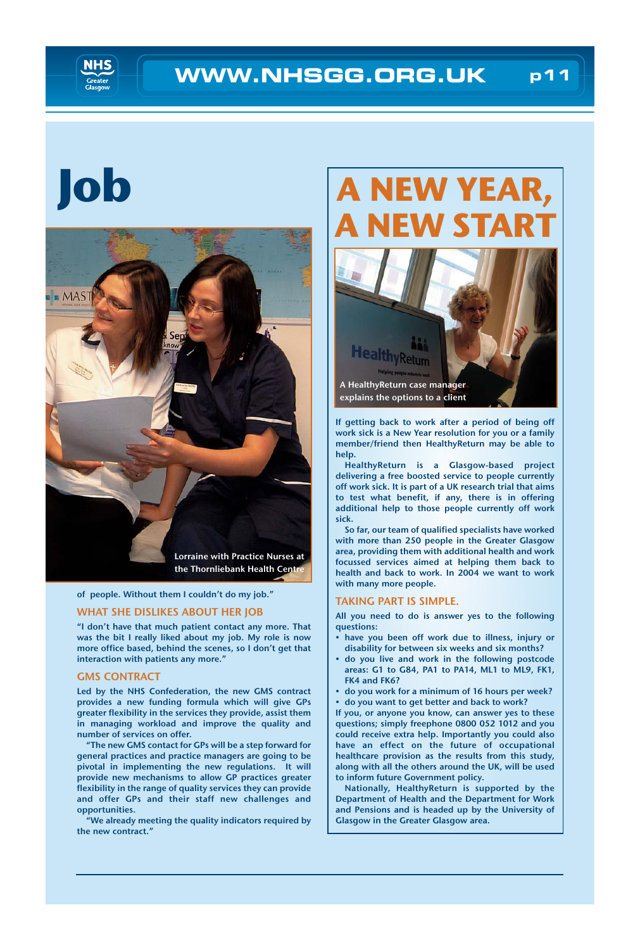

# **Job**



of people. Without them I couldn't do my job."

### WHAT SHE DISLIKES ABOUT HER JOB

"I don't have that much patient contact any more. That was the bit I really liked about my job. My role is now more office based, behind the scenes, so I don't get that interaction with patients any more."

### GMS CONTRACT

Led by the NHS Confederation, the new GMS contract provides a new funding formula which will give GPs greater flexibility in the services they provide, assist them in managing workload and improve the quality and number of services on offer.

"The new GMS contact for GPs will be a step forward for general practices and practice managers are going to be pivotal in implementing the new regulations. It will provide new mechanisms to allow GP practices greater flexibility in the range of quality services they can provide and offer GPs and their staff new challenges and opportunities.

"We already meeting the quality indicators required by the new contract."

## **A NEW YEAR, EW STA**



If getting back to work after a period of being off work sick is a New Year resolution for you or a family member/friend then HealthyReturn may be able to help.

HealthyReturn is a Glasgow-based project delivering a free boosted service to people currently off work sick. It is part of a UK research trial that aims to test what benefit, if any, there is in offering additional help to those people currently off work sick.

So far, our team of qualified specialists have worked with more than 250 people in the Greater Glasgow area, providing them with additional health and work focussed services aimed at helping them back to health and back to work. In 2004 we want to work with many more people.

### TAKING PART IS SIMPLE.

All you need to do is answer yes to the following questions:

- have you been off work due to illness, injury or disability for between six weeks and six months?
- do you live and work in the following postcode areas: G1 to G84, PA1 to PA14, ML1 to ML9, FK1, FK4 and FK6?
- do you work for a minimum of 16 hours per week?
- do you want to get better and back to work?

If you, or anyone you know, can answer yes to these questions; simply freephone 0800 052 1012 and you could receive extra help. Importantly you could also have an effect on the future of occupational healthcare provision as the results from this study, along with all the others around the UK, will be used to inform future Government policy.

Nationally, HealthyReturn is supported by the Department of Health and the Department for Work and Pensions and is headed up by the University of Glasgow in the Greater Glasgow area.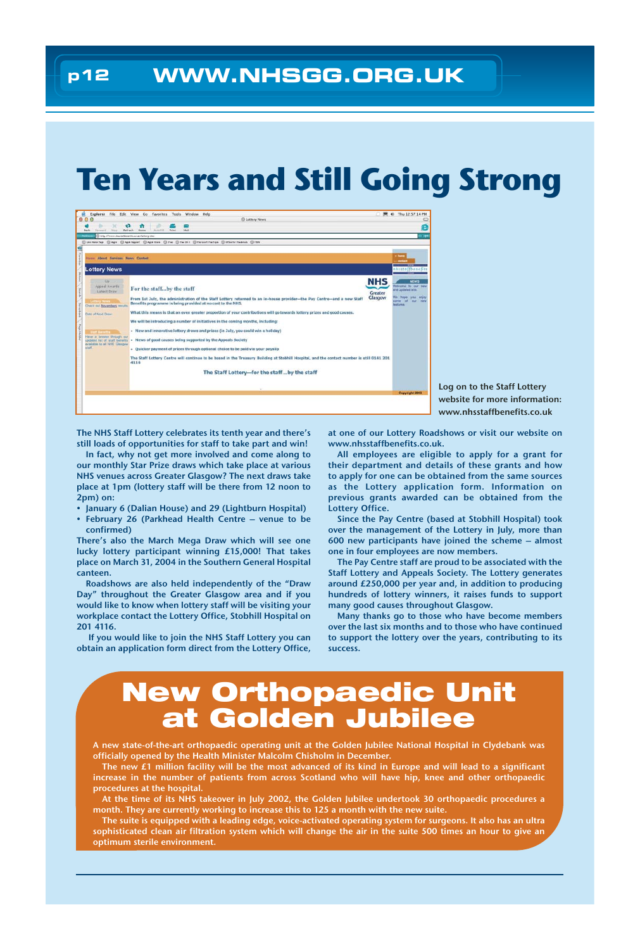## **Ten Years and Still Going Strong**



Log on to the Staff Lottery website for more information: www.nhsstaffbenefits.co.uk

The NHS Staff Lottery celebrates its tenth year and there's still loads of opportunities for staff to take part and win!

In fact, why not get more involved and come along to our monthly Star Prize draws which take place at various NHS venues across Greater Glasgow? The next draws take place at 1pm (lottery staff will be there from 12 noon to 2pm) on:

- January 6 (Dalian House) and 29 (Lightburn Hospital)
- February 26 (Parkhead Health Centre venue to be confirmed)

There's also the March Mega Draw which will see one lucky lottery participant winning £15,000! That takes place on March 31, 2004 in the Southern General Hospital canteen.

Roadshows are also held independently of the "Draw Day" throughout the Greater Glasgow area and if you would like to know when lottery staff will be visiting your workplace contact the Lottery Office, Stobhill Hospital on 201 4116.

If you would like to join the NHS Staff Lottery you can obtain an application form direct from the Lottery Office,

at one of our Lottery Roadshows or visit our website on www.nhsstaffbenefits.co.uk.

All employees are eligible to apply for a grant for their department and details of these grants and how to apply for one can be obtained from the same sources as the Lottery application form. Information on previous grants awarded can be obtained from the Lottery Office.

Since the Pay Centre (based at Stobhill Hospital) took over the management of the Lottery in July, more than 600 new participants have joined the scheme – almost one in four employees are now members.

The Pay Centre staff are proud to be associated with the Staff Lottery and Appeals Society. The Lottery generates around £250,000 per year and, in addition to producing hundreds of lottery winners, it raises funds to support many good causes throughout Glasgow.

Many thanks go to those who have become members over the last six months and to those who have continued to support the lottery over the years, contributing to its success.

## **New Orthopaedic Unit at Golden Jubilee**

A new state-of-the-art orthopaedic operating unit at the Golden Jubilee National Hospital in Clydebank was officially opened by the Health Minister Malcolm Chisholm in December.

The new £1 million facility will be the most advanced of its kind in Europe and will lead to a significant increase in the number of patients from across Scotland who will have hip, knee and other orthopaedic procedures at the hospital.

At the time of its NHS takeover in July 2002, the Golden Jubilee undertook 30 orthopaedic procedures a month. They are currently working to increase this to 125 a month with the new suite.

The suite is equipped with a leading edge, voice-activated operating system for surgeons. It also has an ultra sophisticated clean air filtration system which will change the air in the suite 500 times an hour to give an optimum sterile environment.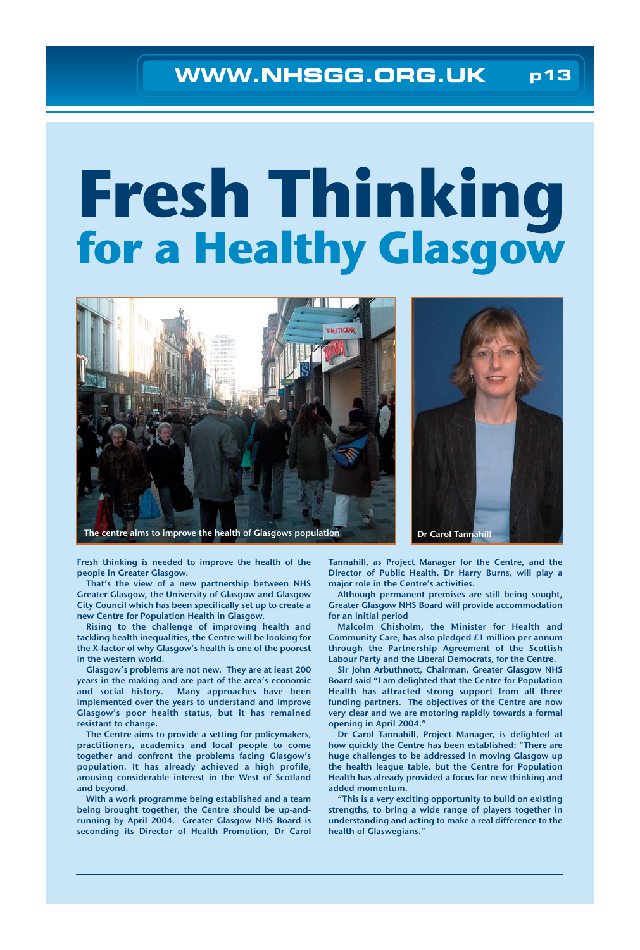## **WWW.NHSGG.ORG.UK p13**

# **Fresh Thinking for a Healthy Glasgow**





Fresh thinking is needed to improve the health of the people in Greater Glasgow.

That's the view of a new partnership between NHS Greater Glasgow, the University of Glasgow and Glasgow City Council which has been specifically set up to create a new Centre for Population Health in Glasgow.

Rising to the challenge of improving health and tackling health inequalities, the Centre will be looking for the X-factor of why Glasgow's health is one of the poorest in the western world.

Glasgow's problems are not new. They are at least 200 years in the making and are part of the area's economic and social history. Many approaches have been implemented over the years to understand and improve Glasgow's poor health status, but it has remained resistant to change.

The Centre aims to provide a setting for policymakers, practitioners, academics and local people to come together and confront the problems facing Glasgow's population. It has already achieved a high profile, arousing considerable interest in the West of Scotland and beyond.

With a work programme being established and a team being brought together, the Centre should be up-andrunning by April 2004. Greater Glasgow NHS Board is seconding its Director of Health Promotion, Dr Carol Tannahill, as Project Manager for the Centre, and the Director of Public Health, Dr Harry Burns, will play a major role in the Centre's activities.

Although permanent premises are still being sought, Greater Glasgow NHS Board will provide accommodation for an initial period

Malcolm Chisholm, the Minister for Health and Community Care, has also pledged £1 million per annum through the Partnership Agreement of the Scottish Labour Party and the Liberal Democrats, for the Centre.

Sir John Arbuthnott, Chairman, Greater Glasgow NHS Board said "I am delighted that the Centre for Population Health has attracted strong support from all three funding partners. The objectives of the Centre are now very clear and we are motoring rapidly towards a formal opening in April 2004."

Dr Carol Tannahill, Project Manager, is delighted at how quickly the Centre has been established: "There are huge challenges to be addressed in moving Glasgow up the health league table, but the Centre for Population Health has already provided a focus for new thinking and added momentum.

"This is a very exciting opportunity to build on existing strengths, to bring a wide range of players together in understanding and acting to make a real difference to the health of Glaswegians."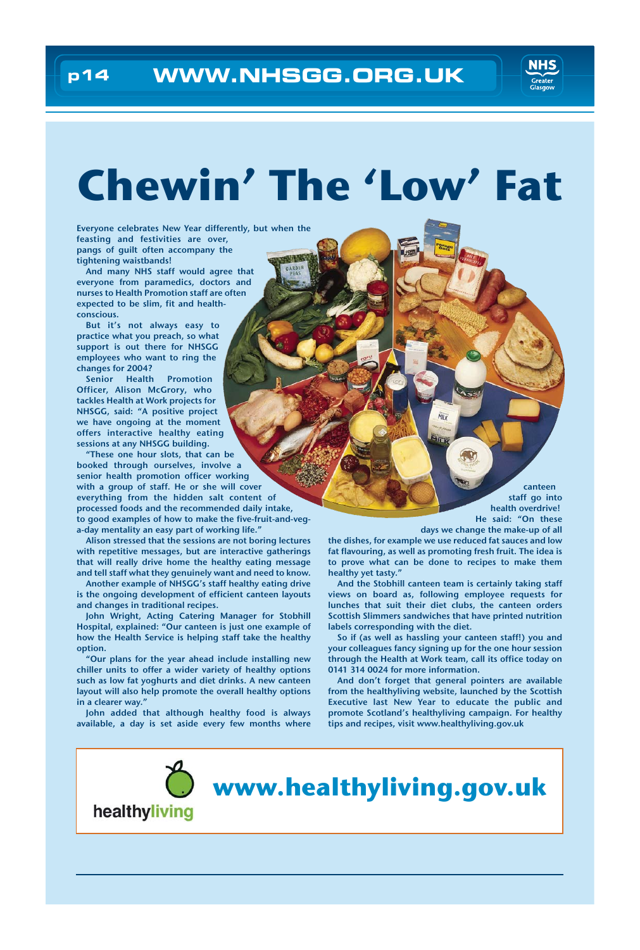

## **Chewin' The 'Low' Fat**

Everyone celebrates New Year differently, but when the feasting and festivities are over, pangs of guilt often accompany the tightening waistbands!

And many NHS staff would agree that everyone from paramedics, doctors and nurses to Health Promotion staff are often expected to be slim, fit and healthconscious.

But it's not always easy to practice what you preach, so what support is out there for NHSGG employees who want to ring the changes for 2004?

Senior Health Promotion Officer, Alison McGrory, who tackles Health at Work projects for NHSGG, said: "A positive project we have ongoing at the moment offers interactive healthy eating sessions at any NHSGG building.

"These one hour slots, that can be booked through ourselves, involve a senior health promotion officer working with a group of staff. He or she will cover everything from the hidden salt content of processed foods and the recommended daily intake, to good examples of how to make the five-fruit-and-vega-day mentality an easy part of working life."

Alison stressed that the sessions are not boring lectures with repetitive messages, but are interactive gatherings that will really drive home the healthy eating message and tell staff what they genuinely want and need to know.

Another example of NHSGG's staff healthy eating drive is the ongoing development of efficient canteen layouts and changes in traditional recipes.

John Wright, Acting Catering Manager for Stobhill Hospital, explained: "Our canteen is just one example of how the Health Service is helping staff take the healthy option.

"Our plans for the year ahead include installing new chiller units to offer a wider variety of healthy options such as low fat yoghurts and diet drinks. A new canteen layout will also help promote the overall healthy options in a clearer way."

John added that although healthy food is always available, a day is set aside every few months where

canteen staff go into health overdrive! He said: "On these

days we change the make-up of all

the dishes, for example we use reduced fat sauces and low fat flavouring, as well as promoting fresh fruit. The idea is to prove what can be done to recipes to make them healthy yet tasty."

Mil u

And the Stobhill canteen team is certainly taking staff views on board as, following employee requests for lunches that suit their diet clubs, the canteen orders Scottish Slimmers sandwiches that have printed nutrition labels corresponding with the diet.

So if (as well as hassling your canteen staff!) you and your colleagues fancy signing up for the one hour session through the Health at Work team, call its office today on 0141 314 0024 for more information.

And don't forget that general pointers are available from the healthyliving website, launched by the Scottish Executive last New Year to educate the public and promote Scotland's healthyliving campaign. For healthy tips and recipes, visit www.healthyliving.gov.uk

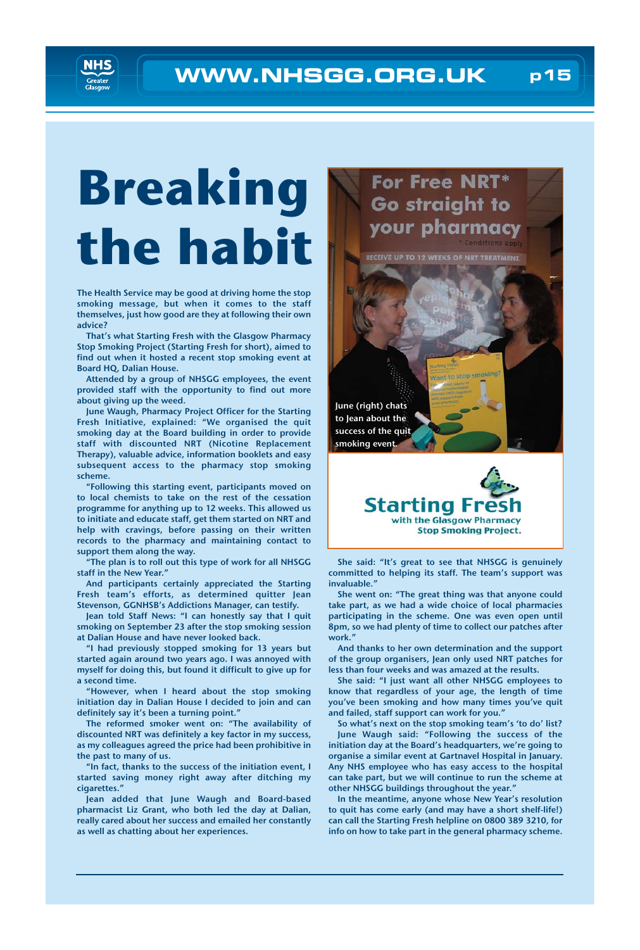

# **Breaking the habit**

The Health Service may be good at driving home the stop smoking message, but when it comes to the staff themselves, just how good are they at following their own advice?

That's what Starting Fresh with the Glasgow Pharmacy Stop Smoking Project (Starting Fresh for short), aimed to find out when it hosted a recent stop smoking event at Board HQ, Dalian House.

Attended by a group of NHSGG employees, the event provided staff with the opportunity to find out more about giving up the weed.

June Waugh, Pharmacy Project Officer for the Starting Fresh Initiative, explained: "We organised the quit smoking day at the Board building in order to provide staff with discounted NRT (Nicotine Replacement Therapy), valuable advice, information booklets and easy subsequent access to the pharmacy stop smoking scheme.

"Following this starting event, participants moved on to local chemists to take on the rest of the cessation programme for anything up to 12 weeks. This allowed us to initiate and educate staff, get them started on NRT and help with cravings, before passing on their written records to the pharmacy and maintaining contact to support them along the way.

"The plan is to roll out this type of work for all NHSGG staff in the New Year."

And participants certainly appreciated the Starting Fresh team's efforts, as determined quitter Jean Stevenson, GGNHSB's Addictions Manager, can testify.

Jean told Staff News: "I can honestly say that I quit smoking on September 23 after the stop smoking session at Dalian House and have never looked back.

"I had previously stopped smoking for 13 years but started again around two years ago. I was annoyed with myself for doing this, but found it difficult to give up for a second time.

"However, when I heard about the stop smoking initiation day in Dalian House I decided to join and can definitely say it's been a turning point."

The reformed smoker went on: "The availability of discounted NRT was definitely a key factor in my success, as my colleagues agreed the price had been prohibitive in the past to many of us.

"In fact, thanks to the success of the initiation event, I started saving money right away after ditching my cigarettes."

Jean added that June Waugh and Board-based pharmacist Liz Grant, who both led the day at Dalian, really cared about her success and emailed her constantly as well as chatting about her experiences.





She said: "It's great to see that NHSGG is genuinely committed to helping its staff. The team's support was invaluable."

She went on: "The great thing was that anyone could take part, as we had a wide choice of local pharmacies participating in the scheme. One was even open until 8pm, so we had plenty of time to collect our patches after work."

And thanks to her own determination and the support of the group organisers, Jean only used NRT patches for less than four weeks and was amazed at the results.

She said: "I just want all other NHSGG employees to know that regardless of your age, the length of time you've been smoking and how many times you've quit and failed, staff support can work for you."

So what's next on the stop smoking team's 'to do' list? June Waugh said: "Following the success of the initiation day at the Board's headquarters, we're going to organise a similar event at Gartnavel Hospital in January. Any NHS employee who has easy access to the hospital can take part, but we will continue to run the scheme at other NHSGG buildings throughout the year."

In the meantime, anyone whose New Year's resolution to quit has come early (and may have a short shelf-life!) can call the Starting Fresh helpline on 0800 389 3210, for info on how to take part in the general pharmacy scheme.